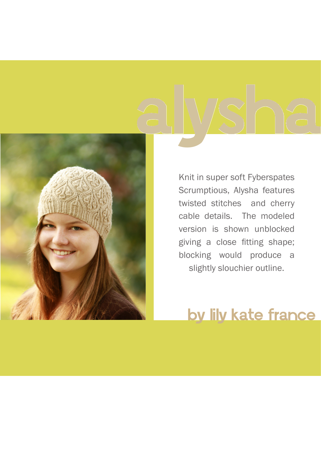

Knit in super soft Fyberspates Scrumptious, Alysha features twisted stitches and cherry cable details. The modeled version is shown unblocked giving a close fitting shape; blocking would produce a slightly slouchier outline.

## by lily kate france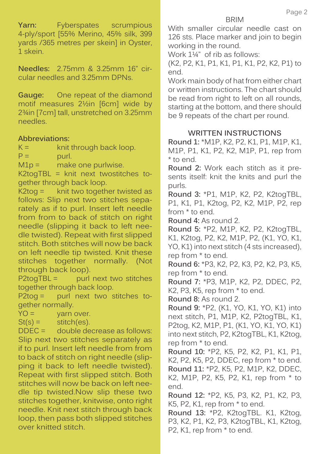**Yarn:** Fyberspates scrumpious 4-ply/sport [55% Merino, 45% silk, 399 yards /365 metres per skein] in Oyster, 1 skein.

**Needles:** 2.75mm & 3.25mm 16" circular needles and 3.25mm DPNs.

**Gauge:** One repeat of the diamond motif measures 2½in [6cm] wide by 2¾in [7cm] tall, unstretched on 3.25mm needles.

## **Abbreviations:**

 $K =$  knit through back loop.

 $P =$  purl.

 $M1p =$  make one purlwise.

K2togTBL = knit next twostitches together through back loop.

 $K2$ tog = knit two together twisted as follows: Slip next two stitches separately as if to purl. Insert left needle from from to back of stitch on right needle (slipping it back to left needle twisted). Repeat with first slipped stitch. Both stitches will now be back on left needle tip twisted. Knit these stitches together normally. (Not through back loop).<br>P2toqTBL = purl

purl next two stitches together through back loop.

P2tog = purl next two stitches together normally.

 $YO =$  yarn over.

 $St(s) =$  stitch(es).

DDEC = double decrease as follows: Slip next two stitches separately as if to purl. Insert left needle from from to back of stitch on right needle (slipping it back to left needle twisted). Repeat with first slipped stitch. Both stitches will now be back on left needle tip twisted.Now slip these two stitches together, knitwise, onto right needle. Knit next stitch through back loop, then pass both slipped stitches over knitted stitch.

With smaller circular needle cast on 126 sts. Place marker and join to begin working in the round.

Work  $1\frac{1}{4}$ " of rib as follows:

(K2, P2, K1, P1, K1, P1, K1, P2, K2, P1) to end.

Work main body of hat from either chart or written instructions. The chart should be read from right to left on all rounds, starting at the bottom, and there should be 9 repeats of the chart per round.

## **WRITTEN INSTRUCTIONS**

**Round 1:** \*M1P, K2, P2, K1, P1, M1P, K1, M1P, P1, K1, P2, K2, M1P, P1, rep from \* to end.

**Round 2:** Work each stitch as it presents itself: knit the knits and purl the purls.

**Round 3:** \*P1, M1P, K2, P2, K2togTBL, P1, K1, P1, K2tog, P2, K2, M1P, P2, rep from \* to end.

**Round 4:** As round 2.

**Round 5:** \*P2, M1P, K2, P2, K2togTBL, K1, K2tog, P2, K2, M1P, P2, (K1, YO, K1, YO, K1) into next stitch (4 sts increased), rep from \* to end.

**Round 6:** \*P3, K2, P2, K3, P2, K2, P3, K5, rep from \* to end.

**Round 7:** \*P3, M1P, K2, P2, DDEC, P2, K2, P3, K5, rep from \* to end.

**Round 8:** As round 2.

**Round 9:** \*P2, (K1, YO, K1, YO, K1) into next stitch, P1, M1P, K2, P2togTBL, K1, P2tog, K2, M1P, P1, (K1, YO, K1, YO, K1) into next stitch, P2, K2togTBL, K1, K2tog, rep from \* to end.

**Round 10:** \*P2, K5, P2, K2, P1, K1, P1, K2, P2, K5, P2, DDEC, rep from \* to end. **Round 11:** \*P2, K5, P2, M1P, K2, DDEC, K2, M1P, P2, K5, P2, K1, rep from \* to end.

**Round 12:** \*P2, K5, P3, K2, P1, K2, P3, K5, P2, K1, rep from \* to end.

**Round 13: \*P2, K2togTBL. K1, K2tog,** P3, K2, P1, K2, P3, K2togTBL, K1, K2tog, P2, K1, rep from \* to end.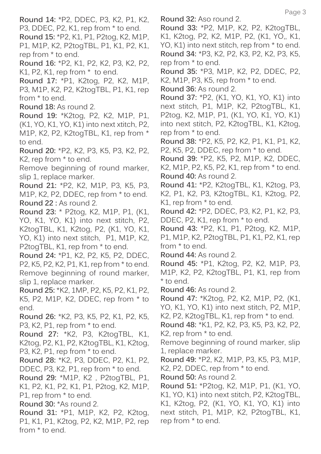**Round 14:** \*P2, DDEC, P3, K2, P1, K2, P3, DDEC, P2, K1, rep from \* to end. **Round 15:** \*P2, K1, P1, P2tog, K2, M1P, P1, M1P, K2, P2togTBL, P1, K1, P2, K1, rep from \* to end. **Round 16:** \*P2, K1, P2, K2, P3, K2, P2, K1, P2, K1, rep from \* to end. **Round 17:** \*P1, K2tog, P2, K2, M1P, P3, M1P, K2, P2, K2togTBL, P1, K1, rep from \* to end. **Round 18:** As round 2. **Round 19:** \*K2tog, P2, K2, M1P, P1, (K1, YO, K1, YO, K1) into next xtitch, P2, M1P, K2, P2, K2togTBL, K1, rep from \* to end. **Round 20:** \*P2, K2, P3, K5, P3, K2, P2, K2, rep from \* to end. Remove beginning of round marker, slip 1, replace marker. **Round 21:** \*P2, K2, M1P, P3, K5, P3, M1P, K2, P2, DDEC, rep from \* to end. **Round 22 :** As round 2. **Round 23:** \* P2tog, K2, M1P, P1, (K1, YO, K1, YO, K1) into next stitch, P2, K2togTBL, K1, K2tog, P2, (K1, YO, K1, YO, K1) into next stitch, P1, M1P, K2, P2togTBL, K1, rep from \* to end. **Round 24:** \*P1, K2, P2, K5, P2, DDEC, P2, K5, P2, K2, P1, K1, rep from \* to end. Remove beginning of round marker, slip 1, replace marker. **Round 25:** \*K2, 1MP, P2, K5, P2, K1, P2, K5, P2, M1P, K2, DDEC, rep from \* to end. **Round 26:** \*K2, P3, K5, P2, K1, P2, K5, P3, K2, P1, rep from \* to end. **Round 27:** \*K2, P3, K2togTBL, K1, K2tog, P2, K1, P2, K2togTBL, K1, K2tog, P3, K2, P1, rep from \* to end. **Round 28:** \*K2, P3, DDEC, P2, K1, P2, DDEC, P3, K2, P1, rep from \* to end. **Round 29:** \*M1P, K2 , P2togTBL, P1, K1, P2, K1, P2, K1, P1, P2tog, K2, M1P, P1, rep from \* to end. **Round 30:** \*As round 2. **Round 31:** \*P1, M1P, K2, P2, K2tog, P1, K1, P1, K2tog, P2, K2, M1P, P2, rep from \* to end.

**Round 32:** Aso round 2.

**Round 33:** \*P2, M1P, K2, P2, K2togTBL, K1, K2tog, P2, K2, M1P, P2, (K1, YO,, K1, YO, K1) into next stitch, rep from \* to end. **Round 34:** \*P3, K2, P2, K3, P2, K2, P3, K5, rep from \* to end.

**Round 35:** \*P3, M1P, K2, P2, DDEC, P2, K2, M1P, P3, K5, rep from  $*$  to end.

**Round 36:** As round 2.

**Round 37:** \*P2, (K1, YO, K1, YO, K1) into next stitch, P1, M1P, K2, P2togTBL, K1, P2tog, K2, M1P, P1, (K1, YO, K1, YO, K1) into next stitch, P2, K2togTBL, K1, K2tog, rep from \* to end.

**Round 38:** \*P2, K5, P2, K2, P1, K1, P1, K2, P2, K5, P2, DDEC, rep from \* to end.

**Round 39:** \*P2, K5, P2, M1P, K2, DDEC, K2, M1P, P2, K5, P2, K1, rep from \* to end. **Round 40:** As round 2.

**Round 41:** \*P2, K2togTBL, K1, K2tog, P3, K2, P1, K2, P3, K2togTBL, K1, K2tog, P2, K1, rep from \* to end.

**Round 42:** \*P2, DDEC, P3, K2, P1, K2, P3, DDEC, P2, K1, rep from \* to end.

**Round 43:** \*P2, K1, P1, P2tog, K2, M1P, P1, M1P, K2, P2togTBL, P1, K1, P2, K1, rep from \* to end.

**Round 44:** As round 2.

**Round 45:** \*P1, K2tog, P2, K2, M1P, P3, M1P, K2, P2, K2togTBL, P1, K1, rep from \* to end.

**Round 46:** As round 2.

**Round 47:** \*K2tog, P2, K2, M1P, P2, (K1, YO, K1, YO, K1) into next stitch, P2, M1P, K2, P2, K2togTBL, K1, rep from \* to end.

**Round 48:** \*K1, P2, K2, P3, K5, P3, K2, P2, K2, rep from \* to end.

Remove beginning of round marker, slip 1, replace marker.

**Round 49:** \*P2, K2, M1P, P3, K5, P3, M1P, K2, P2, DDEC, rep from \* to end.

**Round 50:** As round 2.

**Round 51:** \*P2tog, K2, M1P, P1, (K1, YO, K1, YO, K1) into next stitch, P2, K2togTBL, K1, K2tog, P2, (K1, YO, K1, YO, K1) into next stitch, P1, M1P, K2, P2togTBL, K1, rep from \* to end.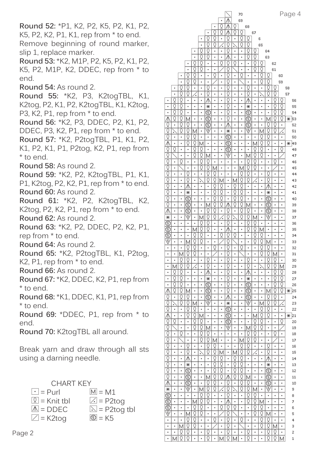**Round 52:** \*P1, K2, P2, K5, P2, K1, P2, K5, P2, K2, P1, K1, rep from \* to end. Remove beginning of round marker, slip 1, replace marker.

**Round 53:** \*K2, M1P, P2, K5, P2, K1, P2, K5, P2, M1P, K2, DDEC, rep from \* to end.

**Round 54:** As round 2.

**Round 55:** \*K2, P3, K2togTBL, K1, K2tog, P2, K1, P2, K2togTBL, K1, K2tog, P3, K2, P1, rep from \* to end.

**Round 56:** \*K2, P3, DDEC, P2, K1, P2, DDEC, P3, K2, P1, rep from \* to end.

**Round 57:** \*K2, P2togTBL, P1, K1, P2, K1, P2, K1, P1, P2tog, K2, P1, rep from \* to end.

**Round 58:** As round 2.

**Round 59:** \*K2, P2, K2togTBL, P1, K1, P1, K2tog, P2, K2, P1, rep from \* to end. **Round 60: As round 2.** 

**Round 61:** \*K2, P2, K2togTBL, K2, K2tog, P2, K2, P1, rep from \* to end. **Round 62:** As round 2.

**Round 63:** \*K2, P2, DDEC, P2, K2, P1, rep from \* to end.

**Round 64:** As round 2.

**Round 65: \*K2, P2togTBL, K1, P2tog,** K2, P1, rep from \* to end.

**Round 66:** As round 2.

**Round 67:** \*K2, DDEC, K2, P1, rep from \* to end.

**Round 68:** \*K1, DDEC, K1, P1, rep from \* to end.

**Round 69:** \*DDEC, P1, rep from \* to end.

**Round 70:** K2togTBL all around.

Break yarn and draw through all sts using a darning needle.

| <b>CHART KEY</b> |                                 |  |  |  |  |  |  |  |  |
|------------------|---------------------------------|--|--|--|--|--|--|--|--|
| $ \cdot $ = Purl | $\overline{M}$ = M1             |  |  |  |  |  |  |  |  |
| $ Q $ = Knit tbl | $\angle$ = P2tog                |  |  |  |  |  |  |  |  |
| $\Lambda$ = DDEC | $\boxed{\triangle}$ = P2tog tbl |  |  |  |  |  |  |  |  |
| $\angle$ = K2tog | $\circledcirc$ = K5             |  |  |  |  |  |  |  |  |

|                                                         |                                  |                                    |                                                    |                         |                                                    |                                  |                         |                                    |                                    |                         | 70                                 |                                                    |                              |                                  |                              |                              |                                                                                                                                                                                                                                                                                                                                                      | Page 4       |
|---------------------------------------------------------|----------------------------------|------------------------------------|----------------------------------------------------|-------------------------|----------------------------------------------------|----------------------------------|-------------------------|------------------------------------|------------------------------------|-------------------------|------------------------------------|----------------------------------------------------|------------------------------|----------------------------------|------------------------------|------------------------------|------------------------------------------------------------------------------------------------------------------------------------------------------------------------------------------------------------------------------------------------------------------------------------------------------------------------------------------------------|--------------|
|                                                         |                                  |                                    |                                                    |                         |                                                    |                                  |                         | ٠                                  | ⋀                                  |                         | 69                                 |                                                    |                              |                                  |                              |                              |                                                                                                                                                                                                                                                                                                                                                      |              |
|                                                         |                                  |                                    |                                                    |                         |                                                    |                                  | $\blacksquare$          | Ō                                  |                                    | Q                       |                                    | 68                                                 |                              |                                  |                              |                              |                                                                                                                                                                                                                                                                                                                                                      |              |
|                                                         |                                  |                                    |                                                    |                         |                                                    | ×                                | Q                       | $\overline{\mathsf{Q}}$            | ∧                                  | Q                       | Q                                  |                                                    | 67                           |                                  |                              |                              |                                                                                                                                                                                                                                                                                                                                                      |              |
|                                                         |                                  |                                    |                                                    |                         | $\blacksquare$                                     | Q                                | $\overline{Q}$          |                                    | Q                                  | $\blacksquare$          | $\overline{Q}$                     | Q                                                  |                              | 6                                |                              |                              |                                                                                                                                                                                                                                                                                                                                                      |              |
|                                                         |                                  |                                    |                                                    |                         | $\blacksquare$                                     | Q                                | $\overline{\mathsf{Q}}$ | $\overline{\cdot}$                 | Q                                  | ×                       | $\overline{\mathsf{Q}}$            | $\overline{\mathsf{Q}}$                            |                              | 65                               |                              |                              |                                                                                                                                                                                                                                                                                                                                                      |              |
|                                                         |                                  |                                    |                                                    | ٠                       | $\overline{\mathsf{Q}}$                            | Q                                | ×                       | ٠                                  | Q                                  | ×                       | ٠                                  | Q                                                  | Q                            |                                  | 64                           |                              |                                                                                                                                                                                                                                                                                                                                                      |              |
|                                                         |                                  |                                    |                                                    | ä,                      | $\overline{\mathbb{Q}}$                            | $\overline{\mathbb{Q}}$          | $\blacksquare$          | $\blacksquare$                     | Λ                                  | $\blacksquare$          | $\blacksquare$                     | $\overline{\mathbb{Q}}$                            | Ō                            |                                  | 63                           |                              |                                                                                                                                                                                                                                                                                                                                                      |              |
|                                                         |                                  |                                    |                                                    | Q                       | $\overline{\mathsf{Q}}$                            | $\blacksquare$                   | ×                       | Q                                  | Q                                  | Q                       |                                    | $\blacksquare$                                     | Q                            | Q                                |                              | 62                           |                                                                                                                                                                                                                                                                                                                                                      |              |
|                                                         |                                  |                                    | ä,                                                 | $\overline{\mathbb{Q}}$ | $\overline{\mathsf{Q}}$                            | ×                                | $\blacksquare$          |                                    | Q                                  |                         |                                    | $\blacksquare$                                     | Q                            | $\overline{\mathbb{Q}}$          |                              | 61                           |                                                                                                                                                                                                                                                                                                                                                      |              |
|                                                         |                                  | ٠                                  | Q                                                  | Q                       | $\blacksquare$                                     | $\blacksquare$                   | Q                       | $\blacksquare$                     | Q                                  | $\blacksquare$          | Q                                  | $\blacksquare$                                     | $\blacksquare$               | Q                                | Q                            |                              | 60                                                                                                                                                                                                                                                                                                                                                   |              |
|                                                         |                                  | ×<br>$\overline{\mathbb{Q}}$       | $\overline{\mathbb{Q}}$<br>$\overline{\mathbb{Q}}$ | Q                       | ۰                                                  | ×<br>Ō                           |                         | ٠                                  | Q<br>$\overline{\mathbb{Q}}$       | ۰                       |                                    | ۰<br>Ō                                             | ۰                            | Q                                | Q<br>$\overline{\mathbb{Q}}$ |                              | 59                                                                                                                                                                                                                                                                                                                                                   |              |
|                                                         | $\blacksquare$                   | $\overline{\overline{\mathsf{Q}}}$ |                                                    | $\blacksquare$          | $\blacksquare$                                     |                                  | ×                       | $\blacksquare$                     |                                    | $\blacksquare$          | $\blacksquare$                     |                                                    | ×                            | ×                                |                              | Q<br>Q                       |                                                                                                                                                                                                                                                                                                                                                      | 58           |
|                                                         | $\blacksquare$<br>Q              | Ō                                  | Q<br>$\qquad \qquad \blacksquare$                  | ſ.<br>$\blacksquare$    | $\blacksquare$                                     | Q                                | ۰<br>۰                  |                                    | Q<br>Q                             | ×<br>٠                  | $\qquad \qquad \blacksquare$       | Q                                                  | E<br>$\blacksquare$          | $\blacksquare$<br>$\blacksquare$ | Q<br>$\blacksquare$          | Q                            |                                                                                                                                                                                                                                                                                                                                                      | 57           |
| ×<br>$\blacksquare$                                     | Q                                | $\overline{\mathsf{Q}}$            | $\qquad \qquad \blacksquare$                       | ٠                       | $\qquad \qquad \blacksquare$                       | ∧<br>Ж                           | ۰                       |                                    | Q                                  | ٠                       | $\blacksquare$                     | ∧<br>Ж                                             | $\blacksquare$               | $\blacksquare$                   | $\blacksquare$               | Q                            | Q<br>$\overline{\mathsf{Q}}$                                                                                                                                                                                                                                                                                                                         | 56<br>55     |
| ۰                                                       | Q                                | Q                                  | ٠                                                  | ٠                       | ×                                                  | $\overline{\circ}$               | ۰                       | ٠                                  | Q                                  | ٠                       | ٠                                  | $\overline{\circ}$                                 | ۰                            | ۰                                | $\blacksquare$               | Q                            | Q                                                                                                                                                                                                                                                                                                                                                    | 54           |
| $\overline{\wedge}$                                     | Q                                | Q                                  | М                                                  | $\blacksquare$          |                                                    | $\overline{\circ}$               | $\blacksquare$          | $\blacksquare$                     | Q                                  | $\blacksquare$          | $\blacksquare$                     | $\circledcirc$                                     | $\blacksquare$               | ×                                | М                            | Q                            | Q                                                                                                                                                                                                                                                                                                                                                    | 53<br>Ж      |
| $\overline{Q}$                                          | $\blacksquare$                   | Q                                  | Q                                                  | ۰                       |                                                    | ⑤                                | ×                       |                                    | ⋀                                  | ۰                       |                                    | ⑤                                                  | ۰                            | ×                                | Q                            | Q                            | $\blacksquare$                                                                                                                                                                                                                                                                                                                                       | 52           |
| ğ                                                       | ×,                               | $\overline{\mathsf{Q}}$            | Q                                                  | М                       |                                                    | $\overline{\mathbb{S}}$          | $\blacksquare$          | $\qquad \qquad \blacksquare$       | ⋇                                  | ٠                       | $\blacksquare$                     | $\overline{\mathbb{V}}$                            | $\blacksquare$               | М                                | Q                            | Q                            | ∕∙                                                                                                                                                                                                                                                                                                                                                   | 51           |
|                                                         | $\blacksquare$                   | ٠                                  | Q                                                  | Q                       | $\qquad \qquad \blacksquare$                       | $\blacksquare$                   | $\blacksquare$          | $\qquad \qquad \blacksquare$       | ⑤                                  | ٠                       | ٠                                  | $\blacksquare$                                     | $\blacksquare$               | Q                                | Q                            | $\qquad \qquad \blacksquare$ | $\blacksquare$                                                                                                                                                                                                                                                                                                                                       | 50           |
| $\frac{\Omega}{\Lambda}$                                | ۰                                | ٠                                  | Q                                                  | Q                       | М                                                  | ۰                                | ×                       | ٠                                  | ⑤                                  | ٠                       | ٠                                  | ۰                                                  | М                            | Q                                | Q                            | ٠                            | $\blacksquare$                                                                                                                                                                                                                                                                                                                                       | 49<br>Ж      |
|                                                         | Q                                | ٠                                  |                                                    | Q                       | Q                                                  | ×                                | $\blacksquare$          | ٠                                  | ☺                                  | $\blacksquare$          | ٠                                  | ×                                                  | Q                            | Q                                | $\blacksquare$               | $\blacksquare$               | $\overline{Q}$                                                                                                                                                                                                                                                                                                                                       | 48           |
| O<br>O<br>O<br>O                                        |                                  |                                    |                                                    | ğ                       | $\overline{\mathbb{Q}}$                            | М                                | ×                       |                                    | Ý                                  | ×                       |                                    | М                                                  | Q                            | $\overline{Q}$                   | ٠                            | $\blacksquare$               |                                                                                                                                                                                                                                                                                                                                                      | 47           |
|                                                         | $\blacksquare$                   | Q                                  | $\blacksquare$                                     | $\blacksquare$          | Q                                                  | Q                                | $\blacksquare$          | $\blacksquare$                     | ٠                                  | ٠                       | $\blacksquare$                     | Q                                                  | Q                            | $\blacksquare$                   | $\blacksquare$               | Q                            | ٠                                                                                                                                                                                                                                                                                                                                                    | 46           |
|                                                         | $\blacksquare$                   |                                    | $\blacksquare$                                     | $\blacksquare$          | $\overline{\mathsf{Q}}$                            | Q                                | М                       | $\blacksquare$                     | $\blacksquare$                     | ۰                       | М                                  | Q                                                  | Q                            | $\blacksquare$                   | $\blacksquare$               |                              | $\blacksquare$                                                                                                                                                                                                                                                                                                                                       | 45           |
|                                                         | ۰                                | ۰                                  | Q                                                  | ٠                       | ×                                                  | Q                                | Q                       | ٠                                  | ٠                                  | ۰                       | Q                                  | Q                                                  | $\blacksquare$               | ۰                                | Q                            | ٠                            | ٠                                                                                                                                                                                                                                                                                                                                                    | 44           |
| <u>olololo</u>                                          | $\blacksquare$                   | $\blacksquare$                     | $\overline{\mathsf{Q}}$                            | $\blacksquare$          | ú                                                  | $\overline{\overline{\text{Q}}}$ | Q                       | М                                  | $\blacksquare$                     | М                       | $\overline{\overline{\text{Q}}}$   | $\overline{\overline{\text{Q}}}$                   | ′.                           | ×                                | Q                            | ٠                            | $\blacksquare$                                                                                                                                                                                                                                                                                                                                       | 43           |
|                                                         | $\blacksquare$                   | ٠                                  | ⋀                                                  | ۰                       | $\blacksquare$                                     | $\blacksquare$                   | $\overline{\mathbb{Q}}$ | Q                                  |                                    | Q                       | $\overline{\mathsf{Q}}$            | $\blacksquare$                                     | ٠                            | $\blacksquare$                   | ∧                            | ٠                            | $\blacksquare$                                                                                                                                                                                                                                                                                                                                       | 42           |
|                                                         | $\blacksquare$                   | ×,                                 | ⋇                                                  | ۰                       | $\blacksquare$                                     | $\blacksquare$                   | Q                       | $\overline{\mathbb{Q}}$            |                                    | $\overline{\mathbb{Q}}$ | $\overline{\mathbb{Q}}$            | $\blacksquare$                                     | $\blacksquare$               | $\blacksquare$                   | ⋇                            | ٠                            | $\blacksquare$                                                                                                                                                                                                                                                                                                                                       | 41           |
| $\frac{\overline{Q}}{\overline{Q}}$                     | $\blacksquare$                   | ٠                                  | ⑤                                                  | ٠                       | $\blacksquare$                                     | $\blacksquare$                   | Q                       | Q                                  | $\blacksquare$                     | Q                       | Q                                  | ×                                                  | $\blacksquare$               | $\blacksquare$                   | ⑤                            | $\blacksquare$               | $\blacksquare$                                                                                                                                                                                                                                                                                                                                       | 40           |
|                                                         | ۰                                | ۰                                  | ⑤                                                  | ٠                       | E                                                  | М                                | Q                       | Q                                  | ∧                                  | Q                       | Q                                  | М                                                  | ۰                            | ۰                                | $\circledcirc$               | ٠                            | ٠                                                                                                                                                                                                                                                                                                                                                    | 39           |
| $\overline{\wedge}$                                     | $\blacksquare$                   | ٠                                  | ⑤                                                  | $\blacksquare$          |                                                    | Q                                | Q                       |                                    | Q                                  |                         | $\overline{\mathsf{Q}}$            | Q                                                  | ×                            | ×                                | ⑤                            | $\blacksquare$               | $\blacksquare$                                                                                                                                                                                                                                                                                                                                       | 38           |
| $\ast$                                                  | $\blacksquare$                   | ٠                                  | ₹                                                  | ۰                       | М                                                  | Q                                | ģ                       | ∕.                                 | Q                                  | J,                      | $\overline{\mathsf{Q}}$            | Ō                                                  | М                            | ×                                | Ý                            | ٠                            | $\blacksquare$                                                                                                                                                                                                                                                                                                                                       | 37           |
| $\overline{\circ}$                                      | $\blacksquare$                   | $\blacksquare$                     | ٠                                                  | $\blacksquare$          | Q                                                  | Q                                | ×                       |                                    | Q                                  |                         |                                    | Q                                                  | Q                            | ×                                | $\blacksquare$               | $\blacksquare$               | ٠                                                                                                                                                                                                                                                                                                                                                    | 36           |
| $\overline{\mathbb{G}}$                                 | $\blacksquare$                   | ٠                                  | $\blacksquare$                                     | М                       | $\overline{Q}$                                     | Q                                | ۰                       | $\blacksquare$                     | ∧                                  | ٠                       | $\blacksquare$                     | Q                                                  | Q                            | М                                | ٠                            | $\blacksquare$               | $\blacksquare$                                                                                                                                                                                                                                                                                                                                       | 35           |
| $\overline{\mathbb{V}}$                                 | ۰<br>$\blacksquare$              | ٠<br>٠                             |                                                    | Q<br>Q                  | Q<br>$\overline{\mathsf{Q}}$                       | $\blacksquare$                   | ۰<br>$\blacksquare$     | Q                                  | Q                                  | Q                       | ٠<br>$\blacksquare$                | $\blacksquare$<br>$\blacksquare$                   | Q                            | Q                                | ٠                            | ٠<br>$\blacksquare$          | ٠<br>$\blacksquare$                                                                                                                                                                                                                                                                                                                                  | 34           |
| i,                                                      | ×                                | $\blacksquare$                     | М<br>$\overline{\mathbb{Q}}$                       | Q                       | $\blacksquare$                                     | ×                                | Q                       |                                    | Q<br>Ō                             |                         | $\overline{\mathsf{Q}}$            | ×                                                  | $\overline{Q}$               | Q<br>$\overline{\mathsf{Q}}$     | М<br>Q                       | $\blacksquare$               | $\blacksquare$                                                                                                                                                                                                                                                                                                                                       | 33<br>32     |
| ۰                                                       | ×                                | Μ                                  | Q                                                  | $\overline{\mathsf{Q}}$ | ×                                                  | $\blacksquare$                   |                         |                                    | Q                                  | ۰                       |                                    | ×                                                  | ×                            | $\overline{Q}$                   | $\overline{Q}$               | М                            | ٠                                                                                                                                                                                                                                                                                                                                                    | 31           |
| $\blacksquare$                                          | $\blacksquare$                   | $\overline{Q}$                     | $\overline{\mathsf{Q}}$                            | $\blacksquare$          | $\blacksquare$                                     | Q                                | $\blacksquare$          |                                    | $\overline{\mathbb{Q}}$            | $\blacksquare$          | $\blacksquare$                     | Q                                                  | $\blacksquare$               | $\blacksquare$                   | $\overline{\mathbb{Q}}$      | Q                            | $\begin{array}{c} \rule{0.2cm}{0.15cm} \rule{0.2cm}{0.15cm} \rule{0.2cm}{0.15cm} \rule{0.2cm}{0.15cm} \rule{0.2cm}{0.15cm} \rule{0.2cm}{0.15cm} \rule{0.2cm}{0.15cm} \rule{0.2cm}{0.15cm} \rule{0.2cm}{0.15cm} \rule{0.2cm}{0.15cm} \rule{0.2cm}{0.15cm} \rule{0.2cm}{0.15cm} \rule{0.2cm}{0.15cm} \rule{0.2cm}{0.15cm} \rule{0.2cm}{0.15cm} \rule{$ | 30           |
| Ξ                                                       | М                                | Q                                  | Q                                                  | 4                       | $\blacksquare$                                     | Q                                | ۰                       | $\blacksquare$                     | Q                                  | ۰                       | ٠                                  | Q                                                  | $\blacksquare$               | ñ                                | Q                            | Q                            | М                                                                                                                                                                                                                                                                                                                                                    | 29           |
|                                                         | Q                                | $\overline{Q}$                     | ۰                                                  | $\blacksquare$          |                                                    | ⋀                                | ×                       |                                    | Q                                  | $\blacksquare$          | $\blacksquare$                     | ∧                                                  | $\blacksquare$               | $\blacksquare$                   | ٠                            | Q                            | Q                                                                                                                                                                                                                                                                                                                                                    | 28           |
| $\blacksquare$                                          | $\overline{\mathbb{Q}}$          | $\overline{\mathbb{Q}}$            | ۰                                                  |                         |                                                    | ⋇                                | ×                       |                                    | $\overline{\mathbb{Q}}$            | ۰                       |                                    | ⋇                                                  | ×                            | $\blacksquare$                   | $\blacksquare$               | $\overline{\mathbb{Q}}$      | $\overline{\mathbb{Q}}$                                                                                                                                                                                                                                                                                                                              | 27           |
| ۰                                                       | Q                                | ģ                                  | ٠                                                  | $\blacksquare$          |                                                    | ⑤                                | ×                       | $\blacksquare$                     | Q                                  | ۰                       | ×                                  | ⑤                                                  | $\blacksquare$               | $\blacksquare$                   | $\blacksquare$               | $\overline{\mathsf{Q}}$      | $\overline{\overline{\mathsf{Q}}}$                                                                                                                                                                                                                                                                                                                   | 26           |
| ∧                                                       | $\overline{\mathsf{Q}}$          | $\overline{Q}$                     | М                                                  | $\blacksquare$          | $\blacksquare$                                     | $\overline{\circ}$               | ×                       |                                    | $\overline{Q}$                     | $\blacksquare$          |                                    | ⑤                                                  | $\blacksquare$               | $\blacksquare$                   | М                            | $\overline{\mathsf{Q}}$      | $\overline{\mathsf{Q}}$                                                                                                                                                                                                                                                                                                                              | $*$ 25       |
| Q                                                       |                                  | Q                                  | Q                                                  | ٠                       |                                                    | $\circledcirc$                   | $\blacksquare$          | $\blacksquare$                     | ⋀                                  | ٠                       | ٠                                  | ⑤                                                  | ٠                            |                                  | Q                            | Q                            | $\blacksquare$                                                                                                                                                                                                                                                                                                                                       | 24           |
|                                                         | ř                                | $\overline{\overline{\text{Q}}}$   | Q                                                  | М                       | ×,                                                 | $\sqrt[5]{}$                     | $\blacksquare$          | $\blacksquare$                     | ⋇                                  | ٠                       | $\blacksquare$                     | $\sqrt[5]{}$                                       | ۰                            | М                                | $\overline{\mathsf{Q}}$      | Q                            | 4                                                                                                                                                                                                                                                                                                                                                    | 23           |
| $\frac{\overline{Q}}{\overline{Q}}$                     | $\blacksquare$                   | ×,                                 | $\overline{\mathbb{Q}}$                            | Q                       | $\blacksquare$                                     |                                  | ٠                       |                                    | $\overline{\circledcirc}$          | ٠                       | ×                                  | $\blacksquare$                                     | ٠                            | Q                                | Q                            | ٠                            | $\blacksquare$                                                                                                                                                                                                                                                                                                                                       | 22           |
| ∧                                                       | ٠                                | ٠                                  | Q                                                  | Q                       | М                                                  | $\blacksquare$                   | ٠                       | $\blacksquare$                     | ⑤                                  | ۰                       | ٠                                  | ٠                                                  | М                            | $\overline{\mathsf{Q}}$          | Q                            | ٠                            | $\blacksquare$                                                                                                                                                                                                                                                                                                                                       | $ z_1 $<br>Ж |
| $\overline{\mathsf{Q}}$                                 | Q                                | $\blacksquare$                     | $\qquad \qquad \blacksquare$                       | Q                       | Q                                                  | $\blacksquare$                   | $\blacksquare$          |                                    | $\circledcirc$                     | $\blacksquare$          | $\blacksquare$                     | ×                                                  | Q                            | Q                                | $\blacksquare$               | ۰                            | Q                                                                                                                                                                                                                                                                                                                                                    | 20           |
|                                                         |                                  |                                    | ۰                                                  | Q                       | Q                                                  | М                                | $\blacksquare$          |                                    | $\sqrt[5]{}$                       | ۰                       |                                    | М                                                  | Q                            | Q                                | ٠                            | ٠                            |                                                                                                                                                                                                                                                                                                                                                      | 19           |
| $\frac{Q}{Q}$                                           | $\blacksquare$                   | Q                                  | ۰                                                  | $\blacksquare$          | $\overline{\mathsf{Q}}$                            | Q                                | $\blacksquare$          |                                    | ٠                                  | $\blacksquare$          | $\blacksquare$                     | Q                                                  | Q                            | $\blacksquare$                   | $\blacksquare$               | Q                            | $\blacksquare$                                                                                                                                                                                                                                                                                                                                       | 18           |
|                                                         | $\blacksquare$                   |                                    |                                                    | ۰                       | $\overline{\mathbb{Q}}$                            | Q                                | М                       |                                    |                                    | ۰                       | М                                  | $\overline{\mathbb{Q}}$                            | Q                            | ×                                | ×,                           |                              | $\blacksquare$                                                                                                                                                                                                                                                                                                                                       | 17           |
| $\overline{Q}$                                          | $\blacksquare$                   | ×                                  | Q                                                  | $\blacksquare$          | $\blacksquare$                                     | Q                                | Q                       | $\blacksquare$                     | $\blacksquare$                     | ۰                       | Q                                  | $\overline{\mathsf{Q}}$                            | $\blacksquare$               | $\blacksquare$                   | Q                            |                              | $\blacksquare$                                                                                                                                                                                                                                                                                                                                       | 16           |
| $\overline{\mathbb{Q}}$                                 | $\blacksquare$                   | $\blacksquare$                     | $\overline{\mathbb{Q}}$                            | $\blacksquare$          |                                                    | $\overline{\mathsf{Q}}$          | $\overline{\mathsf{Q}}$ | М                                  | $\blacksquare$                     | М                       | $\overline{\mathbb{Q}}$            | Q                                                  | $\overline{\phantom{a}}$     | ×                                | Ō                            |                              | $\blacksquare$                                                                                                                                                                                                                                                                                                                                       | 15           |
| $\frac{Q}{Q}$                                           | $\blacksquare$                   | ×                                  | ⋀                                                  | ۰                       | $\blacksquare$                                     | $\blacksquare$                   | Q                       | Q                                  |                                    | Q                       | Q                                  | $\blacksquare$                                     | $\blacksquare$               | ×                                | ⋀                            |                              | ×                                                                                                                                                                                                                                                                                                                                                    | 14           |
|                                                         | $\blacksquare$                   | $\blacksquare$                     | ⋇                                                  | $\blacksquare$          | ä,                                                 | ä,                               | $\overline{\mathbb{Q}}$ | $\overline{\overline{\mathrm{Q}}}$ | $\qquad \qquad \blacksquare$       | $\overline{\mathbb{Q}}$ | $\overline{\overline{\mathrm{Q}}}$ | ä,                                                 | $\blacksquare$               | $\blacksquare$                   | ⋇                            | ٠                            | $\blacksquare$                                                                                                                                                                                                                                                                                                                                       | 13           |
| $\overline{\mathbb{Q}}$                                 | ٠                                | ×                                  | $\overline{\circledcirc}$                          | ٠                       |                                                    | ä,                               | $\overline{\mathsf{Q}}$ | $\overline{\mathbb{Q}}$            | $\blacksquare$                     | $\overline{\mathbb{Q}}$ | $\overline{\mathbb{Q}}$            | $\blacksquare$                                     | ٠                            | ×                                | $\overline{\circledcirc}$    | ٠                            | $\blacksquare$                                                                                                                                                                                                                                                                                                                                       | 12           |
| $\overline{Q}$                                          | ٠                                | $\blacksquare$                     | ⑤                                                  | ٠                       | ٠                                                  | М                                | Q                       | Q                                  | ∧                                  | Q                       | Q                                  | М                                                  | ٠                            | ×                                | ⑤                            | ٠                            | $\blacksquare$                                                                                                                                                                                                                                                                                                                                       | $11\,$       |
| $\overline{\wedge}$                                     | $\blacksquare$                   | $\blacksquare$                     | ⊚                                                  | $\blacksquare$          |                                                    | Q                                | Q                       | ä,                                 | Q                                  | ä,                      | $\overline{\mathsf{Q}}$            | Q                                                  | $\blacksquare$               | ×                                | $\circledcirc$               | ٠                            | $\blacksquare$                                                                                                                                                                                                                                                                                                                                       | 10           |
| ⋇                                                       | $\blacksquare$                   | ×                                  | $\sqrt[5]{}$                                       | ٠                       | Μ                                                  | Q                                | Q                       | 4                                  | Q                                  | í,                      | Q                                  | Q                                                  | М                            | ×                                | $\sqrt[5]{}$                 | ۰                            | ×                                                                                                                                                                                                                                                                                                                                                    | 9            |
| $\overline{\circ}$<br>$\overline{\mathbb{E}}$           | $\blacksquare$                   | $\blacksquare$                     | ×,                                                 | $\blacksquare$          | $\overline{\mathbb{Q}}$<br>$\overline{\mathbb{Q}}$ | Q<br>$\overline{\mathbb{Q}}$     | $\blacksquare$          | ٠                                  | $\overline{Q}$                     | ×,                      | $\blacksquare$                     | $\overline{\mathbb{Q}}$<br>$\overline{\mathbb{Q}}$ | Q<br>$\overline{\mathbb{Q}}$ | ×                                | $\qquad \qquad \blacksquare$ | ٠                            | $\blacksquare$                                                                                                                                                                                                                                                                                                                                       | 8            |
|                                                         | $\blacksquare$<br>$\blacksquare$ | ٠                                  |                                                    | М<br>Q                  | $\overline{\mathsf{Q}}$                            | $\blacksquare$                   | ×<br>$\blacksquare$     | Q                                  | $\sum_{i=1}^{n}$<br>Q              | $\blacksquare$<br>Q     | $\blacksquare$                     | $\blacksquare$                                     | Q                            | М<br>Q                           | $\blacksquare$<br>٠          | $\blacksquare$<br>٠          | $\blacksquare$<br>$\blacksquare$                                                                                                                                                                                                                                                                                                                     | 7<br>6       |
| $\frac{\textcircled{\tiny{R}}}{\textcircled{\tiny{R}}}$ | $\blacksquare$                   | ×,                                 | М                                                  | $\overline{\mathbb{Q}}$ | ট্                                                 | a,                               | $\blacksquare$          |                                    | $\overline{\mathbb{Q}}$            |                         |                                    | ä,                                                 | $\overline{\mathsf{Q}}$      | $\overline{\mathbb{Q}}$          | М                            |                              | $\blacksquare$                                                                                                                                                                                                                                                                                                                                       | 5            |
| ٠                                                       | ×                                |                                    | Q                                                  | Q                       |                                                    | ×                                | Q                       |                                    | Q                                  | ×                       | Q                                  | $\blacksquare$                                     | $\blacksquare$               | Q                                | Q                            | ٠                            | ×                                                                                                                                                                                                                                                                                                                                                    | 4            |
| ۰                                                       | $\blacksquare$                   | М                                  | $\overline{\mathbb{Q}}$                            | $\overline{\mathbb{Q}}$ | ä,                                                 |                                  |                         | ä,                                 | $\overline{\overline{\mathrm{Q}}}$ | ä,                      |                                    |                                                    | ä,                           | $\overline{\mathbb{Q}}$          | $\overline{\mathbb{Q}}$      | М                            | ×,                                                                                                                                                                                                                                                                                                                                                   | З            |
| ٠                                                       | $\blacksquare$                   | Q                                  | Q                                                  | ٠                       | $\blacksquare$                                     | Q                                | ×                       | $\blacksquare$                     | Q                                  | $\blacksquare$          | $\blacksquare$                     | Q                                                  | $\blacksquare$               | $\blacksquare$                   | Q                            | Q                            | $\blacksquare$                                                                                                                                                                                                                                                                                                                                       | 2            |
| $\blacksquare$                                          | М                                | Q                                  | Q                                                  | ×,                      |                                                    | $\overline{\mathsf{Q}}$          |                         | Μ                                  | Q                                  | M                       |                                    | $\overline{\mathsf{Q}}$                            |                              |                                  | Q                            | Q                            | М                                                                                                                                                                                                                                                                                                                                                    | $\mathbf{1}$ |
|                                                         |                                  |                                    |                                                    |                         |                                                    |                                  |                         |                                    |                                    |                         |                                    |                                                    |                              |                                  |                              |                              |                                                                                                                                                                                                                                                                                                                                                      |              |